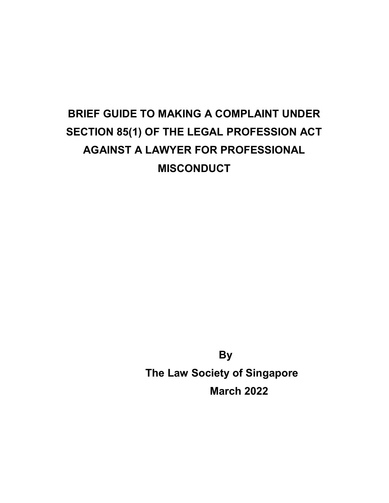# BRIEF GUIDE TO MAKING A COMPLAINT UNDER SECTION 85(1) OF THE LEGAL PROFESSION ACT AGAINST A LAWYER FOR PROFESSIONAL MISCONDUCT

 By The Law Society of Singapore March 2022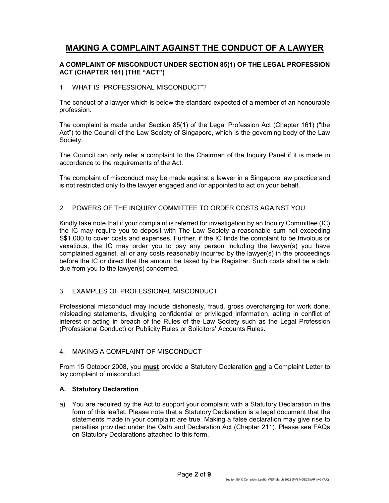## MAKING A COMPLAINT AGAINST THE CONDUCT OF A LAWYER

#### A COMPLAINT OF MISCONDUCT UNDER SECTION 85(1) OF THE LEGAL PROFESSION ACT (CHAPTER 161) (THE "ACT")

#### 1. WHAT IS "PROFESSIONAL MISCONDUCT"?

The conduct of a lawyer which is below the standard expected of a member of an honourable profession.

The complaint is made under Section 85(1) of the Legal Profession Act (Chapter 161) ("the Act") to the Council of the Law Society of Singapore, which is the governing body of the Law Society.

The Council can only refer a complaint to the Chairman of the Inquiry Panel if it is made in accordance to the requirements of the Act.

The complaint of misconduct may be made against a lawyer in a Singapore law practice and is not restricted only to the lawyer engaged and /or appointed to act on your behalf.

#### 2. POWERS OF THE INQUIRY COMMITTEE TO ORDER COSTS AGAINST YOU

Kindly take note that if your complaint is referred for investigation by an Inquiry Committee (IC) the IC may require you to deposit with The Law Society a reasonable sum not exceeding S\$1,000 to cover costs and expenses. Further, if the IC finds the complaint to be frivolous or vexatious, the IC may order you to pay any person including the lawyer(s) you have complained against, all or any costs reasonably incurred by the lawyer(s) in the proceedings before the IC or direct that the amount be taxed by the Registrar. Such costs shall be a debt due from you to the lawyer(s) concerned.

#### 3. EXAMPLES OF PROFESSIONAL MISCONDUCT

Professional misconduct may include dishonesty, fraud, gross overcharging for work done, misleading statements, divulging confidential or privileged information, acting in conflict of interest or acting in breach of the Rules of the Law Society such as the Legal Profession (Professional Conduct) or Publicity Rules or Solicitors' Accounts Rules.

#### 4. MAKING A COMPLAINT OF MISCONDUCT

From 15 October 2008, you **must** provide a Statutory Declaration **and** a Complaint Letter to lay complaint of misconduct.

#### A. Statutory Declaration

a) You are required by the Act to support your complaint with a Statutory Declaration in the form of this leaflet. Please note that a Statutory Declaration is a legal document that the statements made in your complaint are true. Making a false declaration may give rise to penalties provided under the Oath and Declaration Act (Chapter 211). Please see FAQs on Statutory Declarations attached to this form.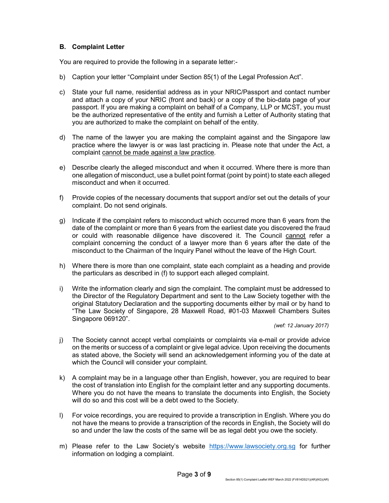#### B. Complaint Letter

You are required to provide the following in a separate letter:-

- b) Caption your letter "Complaint under Section 85(1) of the Legal Profession Act".
- c) State your full name, residential address as in your NRIC/Passport and contact number and attach a copy of your NRIC (front and back) or a copy of the bio-data page of your passport. If you are making a complaint on behalf of a Company, LLP or MCST, you must be the authorized representative of the entity and furnish a Letter of Authority stating that you are authorized to make the complaint on behalf of the entity.
- d) The name of the lawyer you are making the complaint against and the Singapore law practice where the lawyer is or was last practicing in. Please note that under the Act, a complaint cannot be made against a law practice.
- e) Describe clearly the alleged misconduct and when it occurred. Where there is more than one allegation of misconduct, use a bullet point format (point by point) to state each alleged misconduct and when it occurred.
- f) Provide copies of the necessary documents that support and/or set out the details of your complaint. Do not send originals.
- g) Indicate if the complaint refers to misconduct which occurred more than 6 years from the date of the complaint or more than 6 years from the earliest date you discovered the fraud or could with reasonable diligence have discovered it. The Council cannot refer a complaint concerning the conduct of a lawyer more than 6 years after the date of the misconduct to the Chairman of the Inquiry Panel without the leave of the High Court.
- h) Where there is more than one complaint, state each complaint as a heading and provide the particulars as described in (f) to support each alleged complaint.
- i) Write the information clearly and sign the complaint. The complaint must be addressed to the Director of the Regulatory Department and sent to the Law Society together with the original Statutory Declaration and the supporting documents either by mail or by hand to "The Law Society of Singapore, 28 Maxwell Road, #01-03 Maxwell Chambers Suites Singapore 069120".

(wef: 12 January 2017)

- j) The Society cannot accept verbal complaints or complaints via e-mail or provide advice on the merits or success of a complaint or give legal advice. Upon receiving the documents as stated above, the Society will send an acknowledgement informing you of the date at which the Council will consider your complaint.
- k) A complaint may be in a language other than English, however, you are required to bear the cost of translation into English for the complaint letter and any supporting documents. Where you do not have the means to translate the documents into English, the Society will do so and this cost will be a debt owed to the Society.
- l) For voice recordings, you are required to provide a transcription in English. Where you do not have the means to provide a transcription of the records in English, the Society will do so and under the law the costs of the same will be as legal debt you owe the society.
- m) Please refer to the Law Society's website https://www.lawsociety.org.sg for further information on lodging a complaint.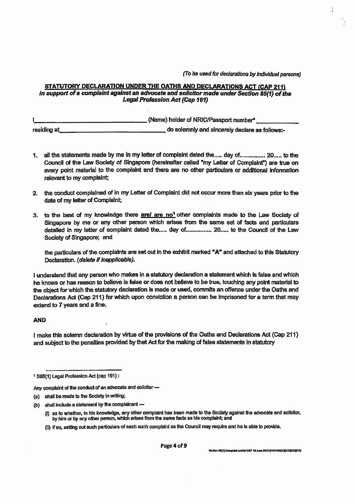(To be used for declarations by individual persons)

#### STATUTORY DECLARATION UNDER THE OATHS AND DECLARATIONS ACT (CAP 211) in support of a complaint against an advocate and solicitor made under Section 85(1) of the Legal Profession Act (Cap 161)

|                    | (Name) holder of NRIC/Passport number*         |
|--------------------|------------------------------------------------|
| <u>residing at</u> | do solemnly and sincerely declare as follows:- |

- 1. all the statements made by me in my letter of complaint dated the..... day of................ 20..... to the Council of the Law Society of Singapore (hereinafter called "my Letter of Complaint") are true on every point material to the complaint and there are no other particulars or additional information relevant to my complaint;
- 2. the conduct complained of in my Letter of Complaint did not occur more than six years prior to the date of my letter of Complaint;
- 3. to the best of my knowledge there are are no<sup>1</sup> other complaints made to the Law Society of Singapore by me or any other person which arises from the same set of facts and particulars detailed in my letter of complaint dated the..... day of................. 20..... to the Council of the Law Society of Singapore; and

the particulars of the complaints are set out in the exhibit marked "A" and attached to this Statutory Declaration. (delete if inapplicable).

I understand that any person who makes in a statutory declaration a statement which is false and which he knows or has reason to believe is false or does not believe to be true, touching any point material to the object for which the statutory declaration is made or used, commits an offence under the Oaths and Declarations Act (Cap 211) for which upon conviction a person can be imprisoned for a term that may extend to 7 years and a fine.

#### **AND**

I make this solemn declaration by virtue of the provisions of the Oaths and Declarations Act (Cap 211) and subject to the penalties provided by that Act for the making of false statements in statutory

<sup>&</sup>lt;sup>1</sup> SB5(1) Legal Profession Act (cap 161):

Any complaint of the conduct of an advocate and solicitor-

<sup>(</sup>a) shall be made to the Society in writing;

<sup>(</sup>b) shall include a statement by the complainant -

<sup>(</sup>i) as to whether, to his knowledge, any other complaint has been made to the Society against the advocate and soficitor, by him or by any other person, which arises from the same facts as his complaint; and

<sup>(</sup>ii) if so, setting out such particulars of each such complaint as the Council may require and he is able to provide.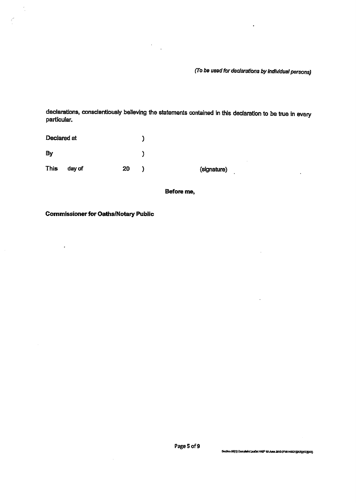(To be used for declarations by individual persons)

 $\bar{\beta}$ 

t,

 $\ddot{\phantom{a}}$ 

 $\ddot{\phantom{0}}$ 

declarations, conscientiously believing the statements contained in this declaration to be true in every particular.

| Declared at |        |    |             |
|-------------|--------|----|-------------|
| By          |        |    |             |
| This        | day of | 20 | (signature) |

 $\ddot{\phantom{a}}$  $\bar{\mathbf{z}}$ 

Before me,

**Commissioner for Oaths/Notary Public** 

 $\ddot{\phantom{0}}$ 

 $\frac{1}{2}$ 

Page 5 of 9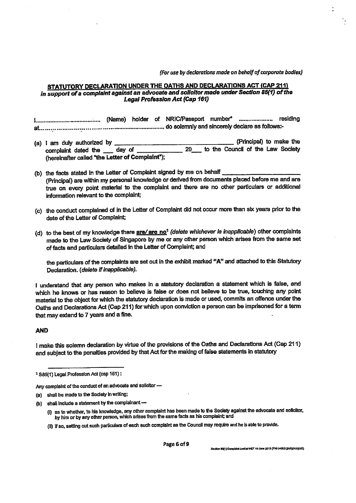(For use by declarations made on behalf of corporate bodies)

#### STATUTORY DECLARATION UNDER THE OATHS AND DECLARATIONS ACT (CAP 211) in support of a complaint against an advocate and solicitor made under Section 85(1) of the **Legal Profession Act (Cap 161)**

- (Principal) to make the (a) I am duly authorized by to the Council of the Law Society 20 complaint dated the day of (hereinafter called "the Letter of Complaint");
- (b) the facts stated in the Letter of Complaint signed by me on behalf (Principal) are within my personal knowledge or derived from documents placed before me and are true on every point material to the complaint and there are no other particulars or additional information relevant to the complaint;
- (c) the conduct complained of in the Letter of Complaint did not occur more than six years prior to the date of the Letter of Complaint;
- (d) to the best of my knowledge there are/ are no<sup>1</sup> (delete whichever is inapplicable) other complaints made to the Law Society of Singapore by me or any other person which arises from the same set of facts and particulars detailed in the Letter of Complaint; and

the particulars of the complaints are set out in the exhibit marked "A" and attached to this Statutory Declaration. (delete if inapplicable).

I understand that any person who makes in a statutory declaration a statement which is false, and which he knows or has reason to believe is false or does not believe to be true, touching any point material to the object for which the statutory declaration is made or used, commits an offence under the Oaths and Declarations Act (Cap 211) for which upon conviction a person can be imprisoned for a term that may extend to 7 years and a fine.

#### **AND**

I make this solemn declaration by virtue of the provisions of the Oaths and Declarations Act (Cap 211) and subject to the penalties provided by that Act for the making of false statements in statutory

- (i) as to whether, to his knowledge, any other complaint has been made to the Society against the advocate and solicitor, by him or by any other person, which arises from the same facts as his complaint; and
- (ii) if so, setting out such particulars of each such complaint as the Council may require and he is able to provide.

Page 6 of 9

Section 85(1) Complaint Leelin WEF 10 June 2013 (FV6140521)(AR)(KG)(AR)

<sup>&</sup>lt;sup>1</sup> S85(1) Legal Profession Act (cap 161):

Any complaint of the conduct of an advocate and solicitor -

<sup>(</sup>a) shall be made to the Society in writing;

<sup>(</sup>b) shall include a statement by the complainant  $-$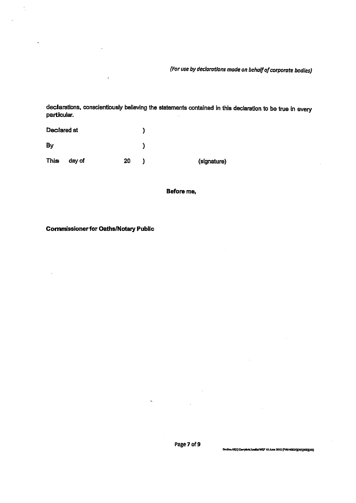(For use by declarations made on behalf of corporate bodies)

declarations, conscientiously believing the statements contained in this declaration to be true in every particular.

| Declared at |        |    |             |
|-------------|--------|----|-------------|
| By          |        |    |             |
| This        | day of | 20 | (signature) |

Before me,

**Commissioner for Oaths/Notary Public** 

 $\ddot{\phantom{1}}$ 

 $\hat{\mathcal{F}}_1$ 

 $\ddot{\phantom{a}}$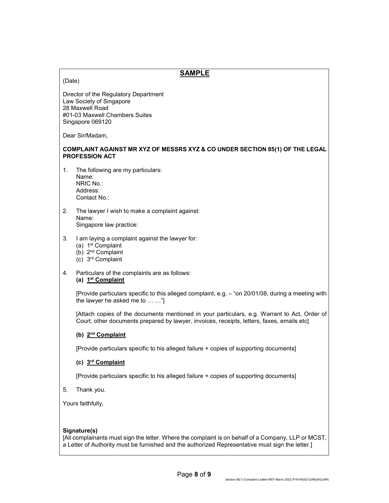### SAMPLE

#### (Date)

Director of the Regulatory Department Law Society of Singapore 28 Maxwell Road #01-03 Maxwell Chambers Suites Singapore 069120

Dear Sir/Madam,

#### COMPLAINT AGAINST MR XYZ OF MESSRS XYZ & CO UNDER SECTION 85(1) OF THE LEGAL PROFESSION ACT

1. The following are my particulars: Name: NRIC No.:

Address: Contact No.:

- 2. The lawyer I wish to make a complaint against: Name: Singapore law practice:
- 3. I am laying a complaint against the lawyer for:
	- (a) 1st Complaint
	- (b) 2nd Complaint
	- (c) 3rd Complaint
- 4. Particulars of the complaints are as follows: (a)  $1<sup>st</sup> Complaint$

[Provide particulars specific to this alleged complaint, e.g. – "on 20/01/08, during a meeting with the lawyer he asked me to … …"]

[Attach copies of the documents mentioned in your particulars, e.g. Warrant to Act, Order of Court, other documents prepared by lawyer, invoices, receipts, letters, faxes, emails etc]

#### (b) 2nd Complaint

[Provide particulars specific to his alleged failure + copies of supporting documents]

#### (c) 3rd Complaint

[Provide particulars specific to his alleged failure + copies of supporting documents]

5. Thank you.

Yours faithfully,

#### Signature(s)

[All complainants must sign the letter. Where the complaint is on behalf of a Company, LLP or MCST, a Letter of Authority must be furnished and the authorized Representative must sign the letter.]